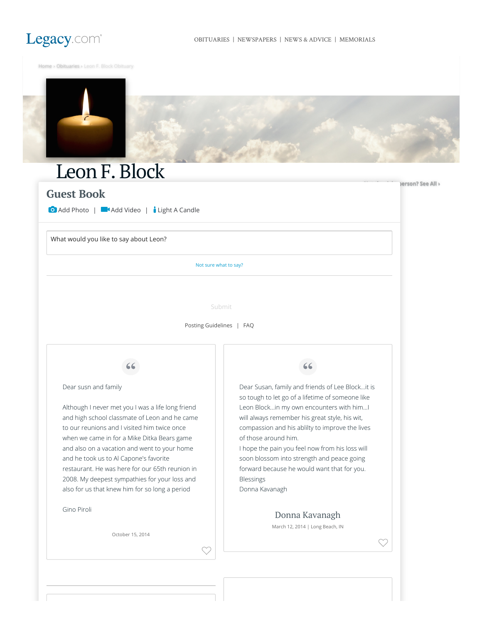

**Nerson? See All >** 

[Home](https://www.legacy.com/) › [Obituaries](https://www.legacy.com/obituaries/local) › Leon F. Block Obituary



# Leon F. Block

## **Guest Book**

**O** Add Photo | **Add Video** | **i** Light A Candle

What would you like to say about Leon?

Not sure what to say?

Submit

[Posting Guidelines](https://www.legacy.com/guestbooks/posting-guidelines.aspx?n=leon-block&pid=169937942) | [FAQ](https://www.legacy.com/guestbooks/faq.aspx?n=leon-block&pid=169937942)

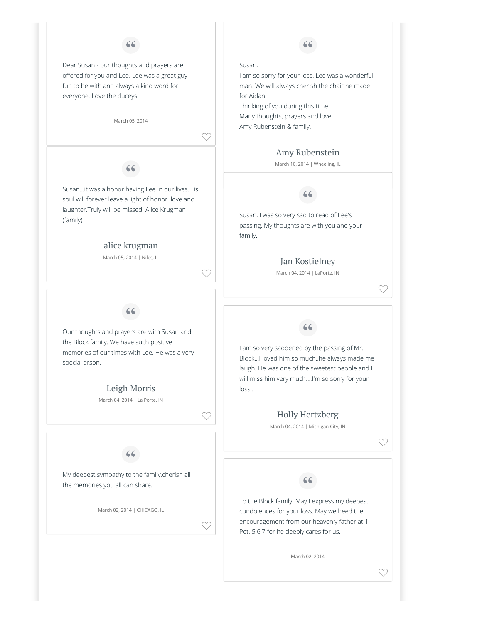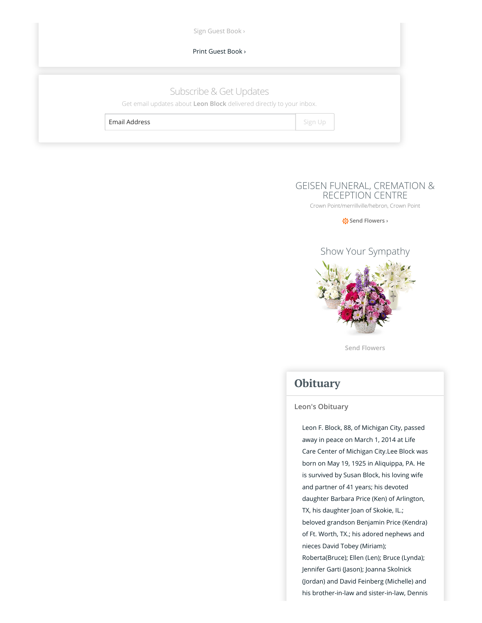| Sign Guest Book >                                                                               |         |  |
|-------------------------------------------------------------------------------------------------|---------|--|
| Print Guest Book >                                                                              |         |  |
|                                                                                                 |         |  |
| Subscribe & Get Updates<br>Get email updates about Leon Block delivered directly to your inbox. |         |  |
| Email Address                                                                                   | Sign Up |  |

## [GEISEN FUNERAL, CREMATION &](https://www.legacy.com/funeral-homes/geisen-funeral-cremation-reception-centre/fh-29208) RECEPTION CENTRE

[Crown Point/merrillville/hebron, Crown Point](https://www.google.com/maps/search/?api=1&query=Crown+Point/merrillville/hebron,+Crown+Point)

**禁 Send Flowers** ›



**Send Flowers**

# **Obituary**

### **Leon's Obituary**

Leon F. Block, 88, of Michigan City, passed away in peace on March 1, 2014 at Life Care Center of Michigan City.Lee Block was born on May 19, 1925 in Aliquippa, PA. He is survived by Susan Block, his loving wife and partner of 41 years; his devoted daughter Barbara Price (Ken) of Arlington, TX, his daughter Joan of Skokie, IL.; beloved grandson Benjamin Price (Kendra) of Ft. Worth, TX.; his adored nephews and nieces David Tobey (Miriam); Roberta(Bruce); Ellen (Len); Bruce (Lynda); Jennifer Garti (Jason); Joanna Skolnick (Jordan) and David Feinberg (Michelle) and his brother-in-law and sister-in-law, Dennis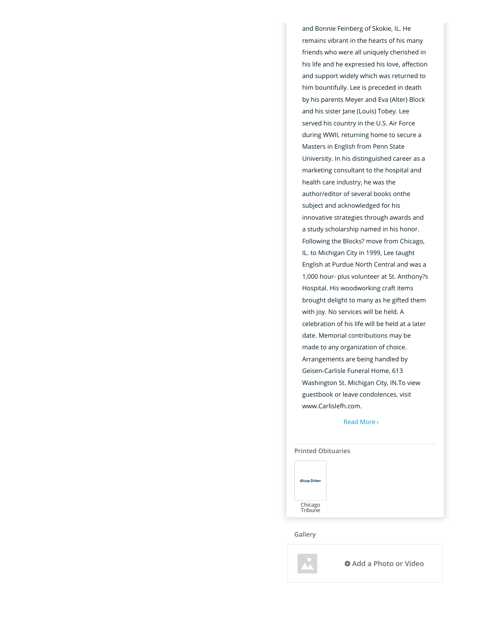and Bonnie Feinberg of Skokie, IL. He remains vibrant in the hearts of his many friends who were all uniquely cherished in his life and he expressed his love, affection and support widely which was returned to him bountifully. Lee is preceded in death by his parents Meyer and Eva (Alter) Block and his sister Jane (Louis) Tobey. Lee served his country in the U.S. Air Force during WWII, returning home to secure a Masters in English from Penn State University. In his distinguished career as a marketing consultant to the hospital and health care industry, he was the author/editor of several books onthe subject and acknowledged for his innovative strategies through awards and a study scholarship named in his honor. Following the Blocks? move from Chicago, IL. to Michigan City in 1999, Lee taught English at Purdue North Central and was a 1,000 hour- plus volunteer at St. Anthony?s Hospital. His woodworking craft items brought delight to many as he gifted them with joy. No services will be held. A celebration of his life will be held at a later date. Memorial contributions may be made to any organization of choice. Arrangements are being handled by Geisen-Carlisle Funeral Home, 613 Washington St. Michigan City, IN.To view guestbook or leave condolences, visit www.Carlislefh.com.

[Read More](https://www.legacy.com/link.asp?i=ls000169964347) ›

| <b>Printed Obituaries</b> |  |
|---------------------------|--|
| Chicago Tribune           |  |
| Chicago<br>Tribune        |  |

**Gallery**